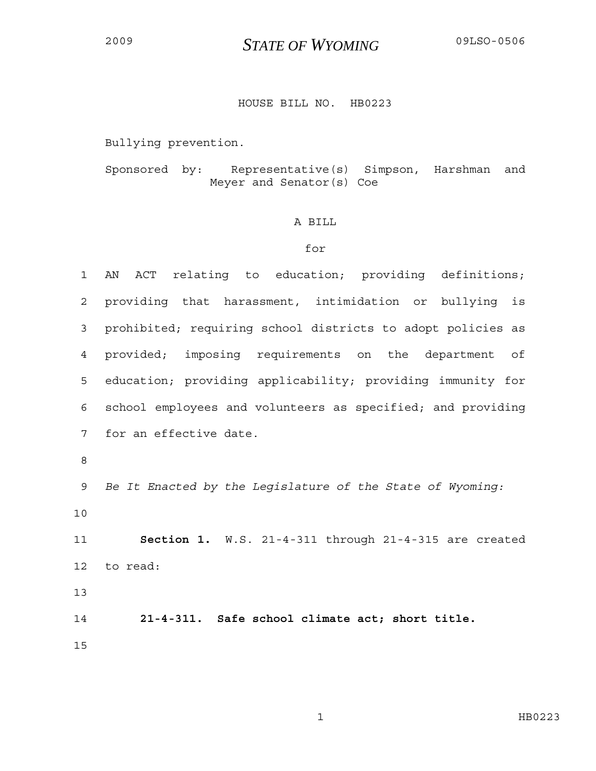## <sup>2009</sup>*STATE OF WYOMING* 09LSO-0506

## HOUSE BILL NO. HB0223

Bullying prevention.

Sponsored by: Representative(s) Simpson, Harshman and Meyer and Senator(s) Coe

## A BILL

## for

| $\mathbf 1$    | ACT relating to education; providing definitions;<br>AN     |
|----------------|-------------------------------------------------------------|
| $\overline{2}$ | providing that harassment, intimidation or bullying is      |
| 3              | prohibited; requiring school districts to adopt policies as |
| 4              | provided; imposing requirements on the department<br>of     |
| 5              | education; providing applicability; providing immunity for  |
| 6              | school employees and volunteers as specified; and providing |
| 7              | for an effective date.                                      |
| $\,8\,$        |                                                             |
| 9              | Be It Enacted by the Legislature of the State of Wyoming:   |
| 10             |                                                             |
| 11             | Section 1. W.S. 21-4-311 through 21-4-315 are created       |
| 12             | to read:                                                    |
| 13             |                                                             |
| 14             | 21-4-311. Safe school climate act; short title.             |
| 15             |                                                             |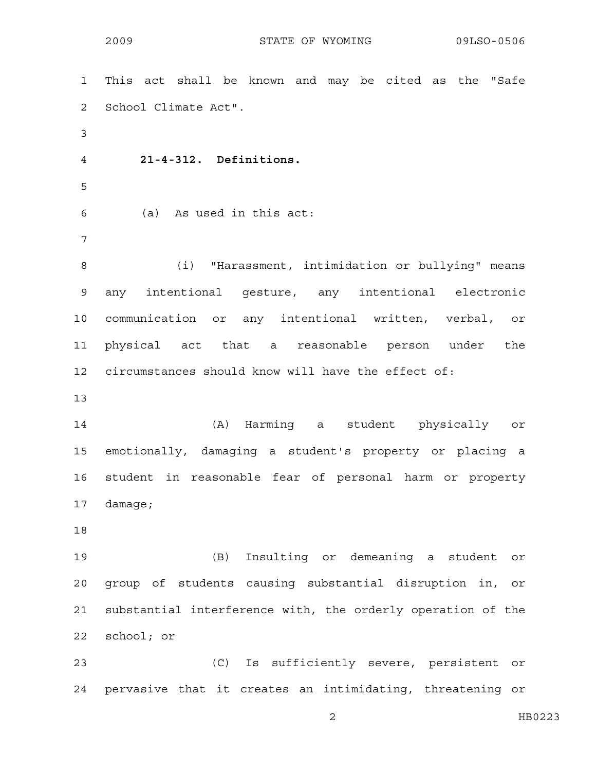2009 STATE OF WYOMING 09LSO-0506

1 This act shall be known and may be cited as the "Safe 2 School Climate Act". 3 4 **21-4-312. Definitions.**  5 6 (a) As used in this act: 7 8 (i) "Harassment, intimidation or bullying" means 9 any intentional gesture, any intentional electronic 10 communication or any intentional written, verbal, or 11 physical act that a reasonable person under the 12 circumstances should know will have the effect of: 13 14 (A) Harming a student physically or 15 emotionally, damaging a student's property or placing a 16 student in reasonable fear of personal harm or property 17 damage; 18 19 (B) Insulting or demeaning a student or 20 group of students causing substantial disruption in, or 21 substantial interference with, the orderly operation of the 22 school; or 23 (C) Is sufficiently severe, persistent or 24 pervasive that it creates an intimidating, threatening or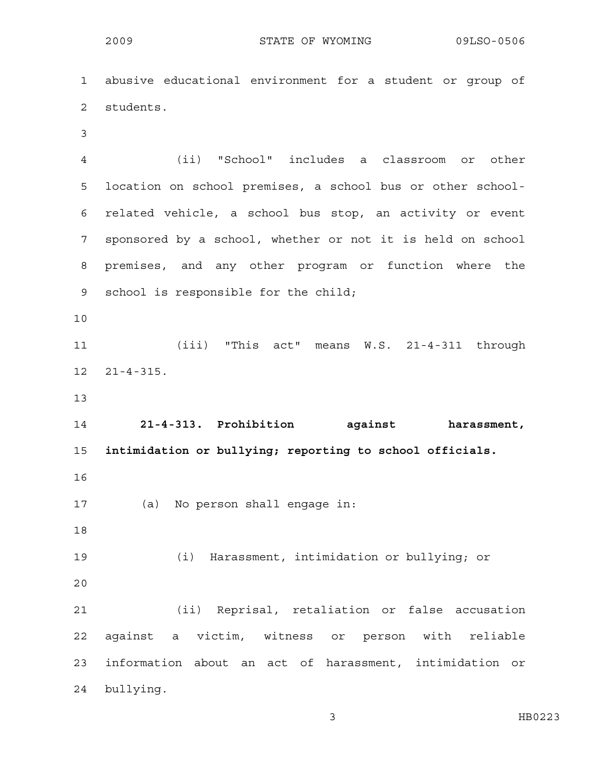1 abusive educational environment for a student or group of 2 students. 3 4 (ii) "School" includes a classroom or other 5 location on school premises, a school bus or other school-6 related vehicle, a school bus stop, an activity or event 7 sponsored by a school, whether or not it is held on school 8 premises, and any other program or function where the 9 school is responsible for the child; 10 11 (iii) "This act" means W.S. 21-4-311 through 12 21-4-315. 13 14 **21-4-313. Prohibition against harassment,**  15 **intimidation or bullying; reporting to school officials.**  16 17 (a) No person shall engage in: 18 19 (i) Harassment, intimidation or bullying; or 20 21 (ii) Reprisal, retaliation or false accusation 22 against a victim, witness or person with reliable 23 information about an act of harassment, intimidation or 24 bullying.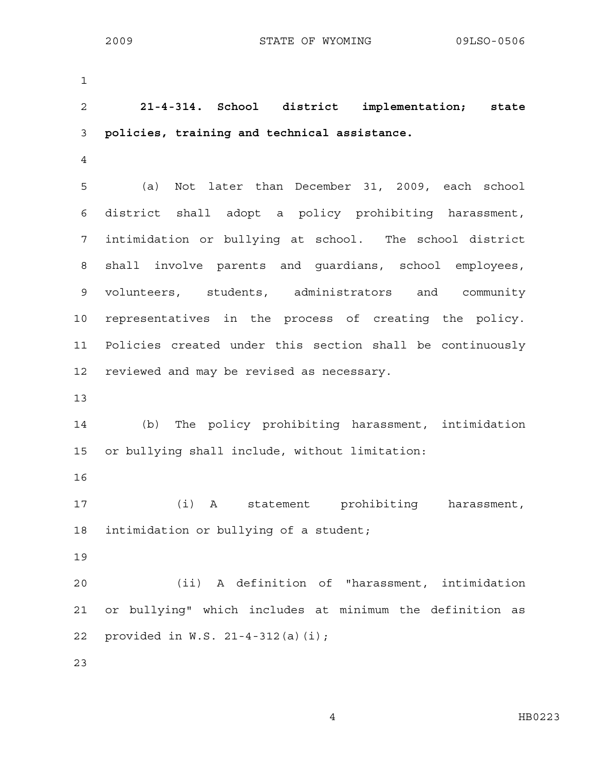1

2 **21-4-314. School district implementation; state**  3 **policies, training and technical assistance.** 

4

5 (a) Not later than December 31, 2009, each school 6 district shall adopt a policy prohibiting harassment, 7 intimidation or bullying at school. The school district 8 shall involve parents and guardians, school employees, 9 volunteers, students, administrators and community 10 representatives in the process of creating the policy. 11 Policies created under this section shall be continuously 12 reviewed and may be revised as necessary.

13

14 (b) The policy prohibiting harassment, intimidation 15 or bullying shall include, without limitation:

16

17 (i) A statement prohibiting harassment, 18 intimidation or bullying of a student;

19

20 (ii) A definition of "harassment, intimidation 21 or bullying" which includes at minimum the definition as 22 provided in W.S. 21-4-312(a)(i);

23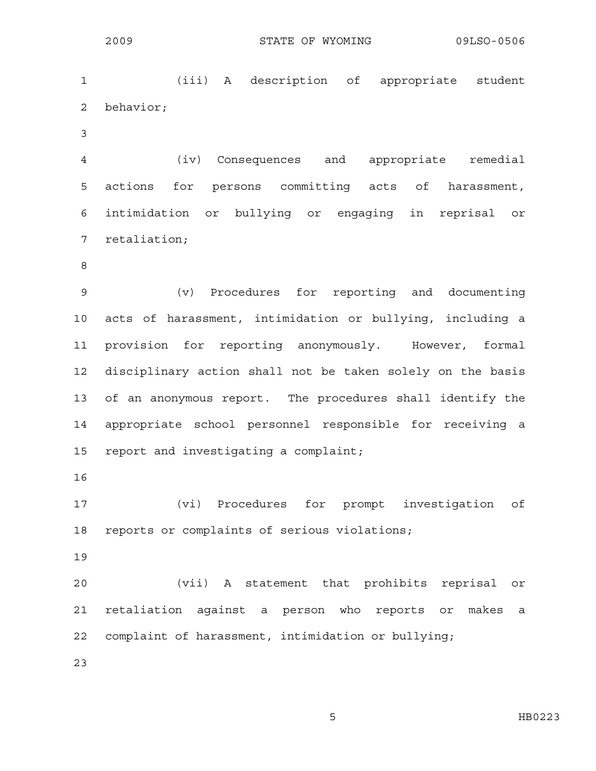1 (iii) A description of appropriate student 2 behavior;

3

4 (iv) Consequences and appropriate remedial 5 actions for persons committing acts of harassment, 6 intimidation or bullying or engaging in reprisal or 7 retaliation;

8

9 (v) Procedures for reporting and documenting 10 acts of harassment, intimidation or bullying, including a 11 provision for reporting anonymously. However, formal 12 disciplinary action shall not be taken solely on the basis 13 of an anonymous report. The procedures shall identify the 14 appropriate school personnel responsible for receiving a 15 report and investigating a complaint;

16

17 (vi) Procedures for prompt investigation of 18 reports or complaints of serious violations;

19

20 (vii) A statement that prohibits reprisal or 21 retaliation against a person who reports or makes a 22 complaint of harassment, intimidation or bullying;

23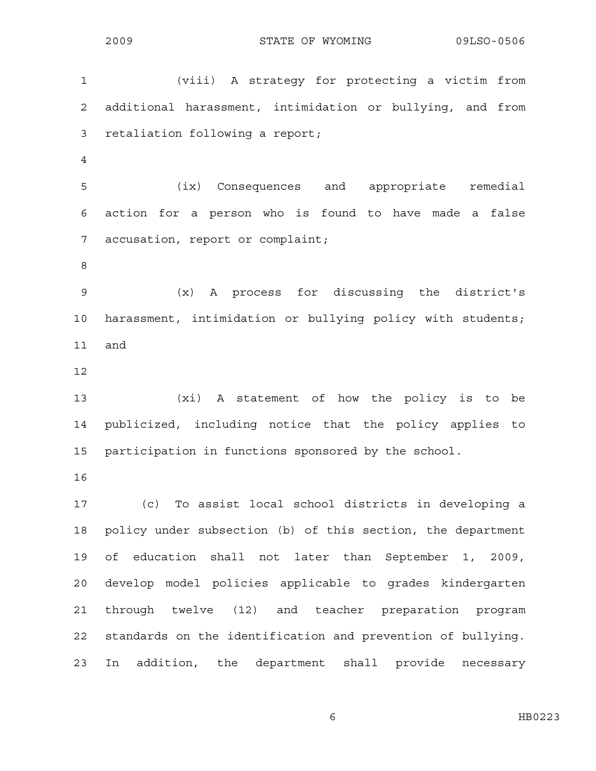1 (viii) A strategy for protecting a victim from 2 additional harassment, intimidation or bullying, and from 3 retaliation following a report; 4 5 (ix) Consequences and appropriate remedial 6 action for a person who is found to have made a false 7 accusation, report or complaint; 8 9 (x) A process for discussing the district's 10 harassment, intimidation or bullying policy with students; 11 and 12 13 (xi) A statement of how the policy is to be 14 publicized, including notice that the policy applies to 15 participation in functions sponsored by the school. 16 17 (c) To assist local school districts in developing a 18 policy under subsection (b) of this section, the department 19 of education shall not later than September 1, 2009, 20 develop model policies applicable to grades kindergarten 21 through twelve (12) and teacher preparation program 22 standards on the identification and prevention of bullying. 23 In addition, the department shall provide necessary

6 HB0223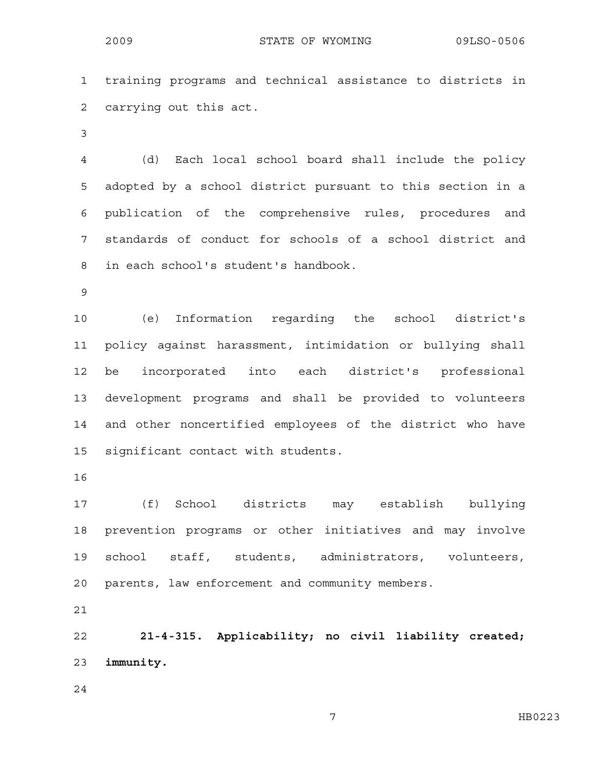1 training programs and technical assistance to districts in 2 carrying out this act.

3

4 (d) Each local school board shall include the policy 5 adopted by a school district pursuant to this section in a 6 publication of the comprehensive rules, procedures and 7 standards of conduct for schools of a school district and 8 in each school's student's handbook.

9

10 (e) Information regarding the school district's 11 policy against harassment, intimidation or bullying shall 12 be incorporated into each district's professional 13 development programs and shall be provided to volunteers 14 and other noncertified employees of the district who have 15 significant contact with students.

16

17 (f) School districts may establish bullying 18 prevention programs or other initiatives and may involve 19 school staff, students, administrators, volunteers, 20 parents, law enforcement and community members.

21

22 **21-4-315. Applicability; no civil liability created;**  23 **immunity.** 

24